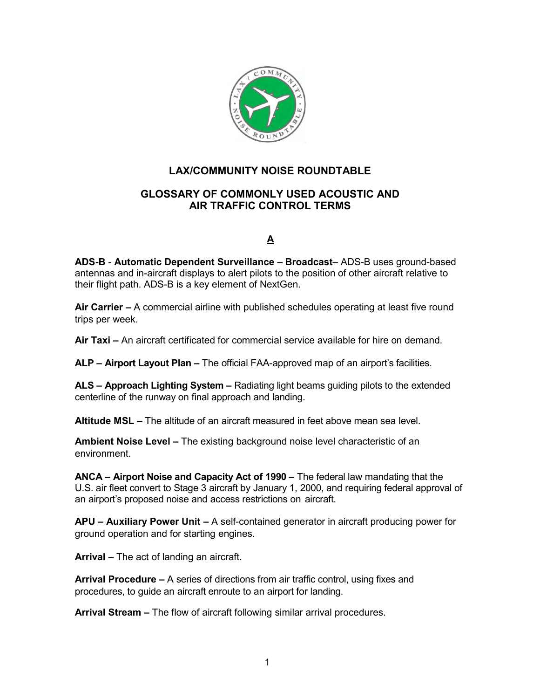

# **LAX/COMMUNITY NOISE ROUNDTABLE**

### **GLOSSARY OF COMMONLY USED ACOUSTIC AND AIR TRAFFIC CONTROL TERMS**

### **A**

**ADS-B** - **Automatic Dependent Surveillance – Broadcast**– ADS-B uses ground-based antennas and in-aircraft displays to alert pilots to the position of other aircraft relative to their flight path. ADS-B is a key element of NextGen.

**Air Carrier –** A commercial airline with published schedules operating at least five round trips per week.

**Air Taxi –** An aircraft certificated for commercial service available for hire on demand.

**ALP – Airport Layout Plan –** The official FAA-approved map of an airport's facilities.

**ALS – Approach Lighting System –** Radiating light beams guiding pilots to the extended centerline of the runway on final approach and landing.

**Altitude MSL –** The altitude of an aircraft measured in feet above mean sea level.

**Ambient Noise Level –** The existing background noise level characteristic of an environment.

**ANCA – Airport Noise and Capacity Act of 1990 –** The federal law mandating that the U.S. air fleet convert to Stage 3 aircraft by January 1, 2000, and requiring federal approval of an airport's proposed noise and access restrictions on aircraft.

**APU – Auxiliary Power Unit –** A self-contained generator in aircraft producing power for ground operation and for starting engines.

**Arrival –** The act of landing an aircraft.

**Arrival Procedure –** A series of directions from air traffic control, using fixes and procedures, to guide an aircraft enroute to an airport for landing.

**Arrival Stream –** The flow of aircraft following similar arrival procedures.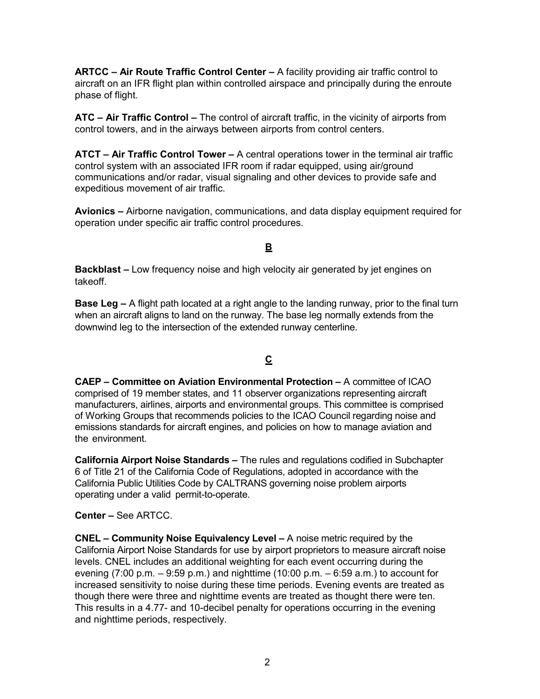**ARTCC – Air Route Traffic Control Center –** A facility providing air traffic control to aircraft on an IFR flight plan within controlled airspace and principally during the enroute phase of flight.

**ATC – Air Traffic Control –** The control of aircraft traffic, in the vicinity of airports from control towers, and in the airways between airports from control centers.

**ATCT – Air Traffic Control Tower –** A central operations tower in the terminal air traffic control system with an associated IFR room if radar equipped, using air/ground communications and/or radar, visual signaling and other devices to provide safe and expeditious movement of air traffic.

**Avionics –** Airborne navigation, communications, and data display equipment required for operation under specific air traffic control procedures.

#### **B**

**Backblast –** Low frequency noise and high velocity air generated by jet engines on takeoff.

**Base Leg –** A flight path located at a right angle to the landing runway, prior to the final turn when an aircraft aligns to land on the runway. The base leg normally extends from the downwind leg to the intersection of the extended runway centerline.

### **C**

**CAEP – Committee on Aviation Environmental Protection –** A committee of ICAO comprised of 19 member states, and 11 observer organizations representing aircraft manufacturers, airlines, airports and environmental groups. This committee is comprised of Working Groups that recommends policies to the ICAO Council regarding noise and emissions standards for aircraft engines, and policies on how to manage aviation and the environment.

**California Airport Noise Standards –** The rules and regulations codified in Subchapter 6 of Title 21 of the California Code of Regulations, adopted in accordance with the California Public Utilities Code by CALTRANS governing noise problem airports operating under a valid permit-to-operate.

**Center –** See ARTCC.

**CNEL – Community Noise Equivalency Level –** A noise metric required by the California Airport Noise Standards for use by airport proprietors to measure aircraft noise levels. CNEL includes an additional weighting for each event occurring during the evening (7:00 p.m. – 9:59 p.m.) and nighttime (10:00 p.m. – 6:59 a.m.) to account for increased sensitivity to noise during these time periods. Evening events are treated as though there were three and nighttime events are treated as thought there were ten. This results in a 4.77- and 10-decibel penalty for operations occurring in the evening and nighttime periods, respectively.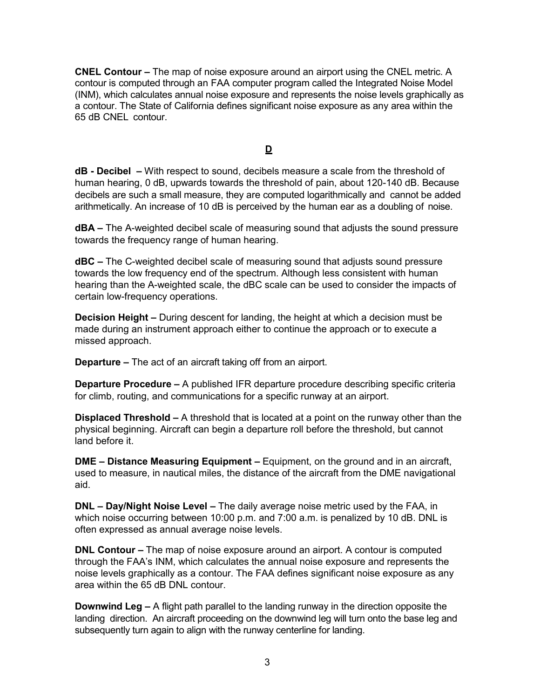**CNEL Contour –** The map of noise exposure around an airport using the CNEL metric. A contour is computed through an FAA computer program called the Integrated Noise Model (INM), which calculates annual noise exposure and represents the noise levels graphically as a contour. The State of California defines significant noise exposure as any area within the 65 dB CNEL contour.

**D** 

**dB - Decibel –** With respect to sound, decibels measure a scale from the threshold of human hearing, 0 dB, upwards towards the threshold of pain, about 120-140 dB. Because decibels are such a small measure, they are computed logarithmically and cannot be added arithmetically. An increase of 10 dB is perceived by the human ear as a doubling of noise.

**dBA –** The A-weighted decibel scale of measuring sound that adjusts the sound pressure towards the frequency range of human hearing.

**dBC –** The C-weighted decibel scale of measuring sound that adjusts sound pressure towards the low frequency end of the spectrum. Although less consistent with human hearing than the A-weighted scale, the dBC scale can be used to consider the impacts of certain low-frequency operations.

**Decision Height –** During descent for landing, the height at which a decision must be made during an instrument approach either to continue the approach or to execute a missed approach.

**Departure –** The act of an aircraft taking off from an airport.

**Departure Procedure –** A published IFR departure procedure describing specific criteria for climb, routing, and communications for a specific runway at an airport.

**Displaced Threshold –** A threshold that is located at a point on the runway other than the physical beginning. Aircraft can begin a departure roll before the threshold, but cannot land before it.

**DME – Distance Measuring Equipment –** Equipment, on the ground and in an aircraft, used to measure, in nautical miles, the distance of the aircraft from the DME navigational aid.

**DNL – Day/Night Noise Level –** The daily average noise metric used by the FAA, in which noise occurring between 10:00 p.m. and 7:00 a.m. is penalized by 10 dB. DNL is often expressed as annual average noise levels.

**DNL Contour –** The map of noise exposure around an airport. A contour is computed through the FAA's INM, which calculates the annual noise exposure and represents the noise levels graphically as a contour. The FAA defines significant noise exposure as any area within the 65 dB DNL contour.

**Downwind Leg –** A flight path parallel to the landing runway in the direction opposite the landing direction. An aircraft proceeding on the downwind leg will turn onto the base leg and subsequently turn again to align with the runway centerline for landing.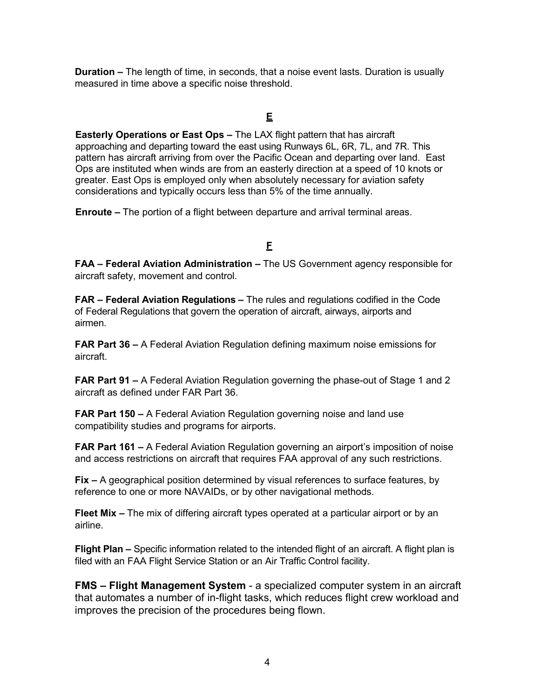**Duration –** The length of time, in seconds, that a noise event lasts. Duration is usually measured in time above a specific noise threshold.

#### **E**

**Easterly Operations or East Ops –** The LAX flight pattern that has aircraft approaching and departing toward the east using Runways 6L, 6R, 7L, and 7R. This pattern has aircraft arriving from over the Pacific Ocean and departing over land. East Ops are instituted when winds are from an easterly direction at a speed of 10 knots or greater. East Ops is employed only when absolutely necessary for aviation safety considerations and typically occurs less than 5% of the time annually.

**Enroute –** The portion of a flight between departure and arrival terminal areas.

# **F**

**FAA – Federal Aviation Administration –** The US Government agency responsible for aircraft safety, movement and control.

**FAR – Federal Aviation Regulations –** The rules and regulations codified in the Code of Federal Regulations that govern the operation of aircraft, airways, airports and airmen.

**FAR Part 36 –** A Federal Aviation Regulation defining maximum noise emissions for aircraft.

**FAR Part 91 –** A Federal Aviation Regulation governing the phase-out of Stage 1 and 2 aircraft as defined under FAR Part 36.

**FAR Part 150 –** A Federal Aviation Regulation governing noise and land use compatibility studies and programs for airports.

**FAR Part 161 –** A Federal Aviation Regulation governing an airport's imposition of noise and access restrictions on aircraft that requires FAA approval of any such restrictions.

**Fix –** A geographical position determined by visual references to surface features, by reference to one or more NAVAIDs, or by other navigational methods.

**Fleet Mix –** The mix of differing aircraft types operated at a particular airport or by an airline.

**Flight Plan –** Specific information related to the intended flight of an aircraft. A flight plan is filed with an FAA Flight Service Station or an Air Traffic Control facility.

**FMS – Flight Management System** - a specialized computer system in an aircraft that automates a number of in-flight tasks, which reduces flight crew workload and improves the precision of the procedures being flown.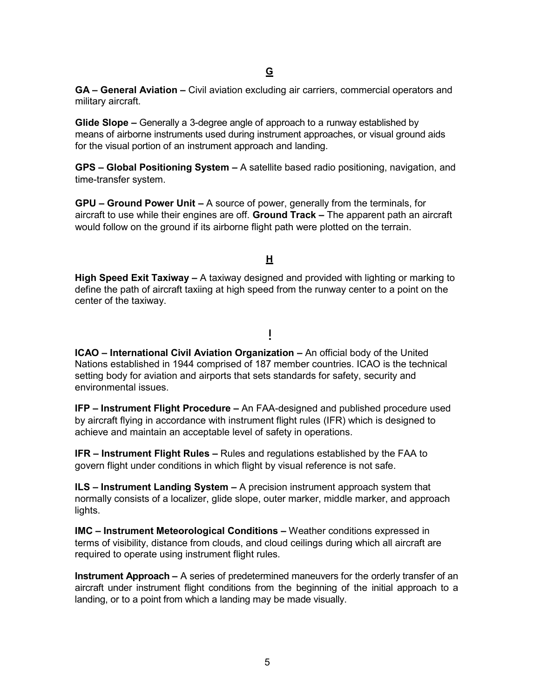**GA – General Aviation –** Civil aviation excluding air carriers, commercial operators and military aircraft.

**Glide Slope –** Generally a 3-degree angle of approach to a runway established by means of airborne instruments used during instrument approaches, or visual ground aids for the visual portion of an instrument approach and landing.

**GPS – Global Positioning System –** A satellite based radio positioning, navigation, and time-transfer system.

**GPU – Ground Power Unit –** A source of power, generally from the terminals, for aircraft to use while their engines are off. **Ground Track –** The apparent path an aircraft would follow on the ground if its airborne flight path were plotted on the terrain.

# **H**

**High Speed Exit Taxiway –** A taxiway designed and provided with lighting or marking to define the path of aircraft taxiing at high speed from the runway center to a point on the center of the taxiway.

### **I**

**ICAO – International Civil Aviation Organization –** An official body of the United Nations established in 1944 comprised of 187 member countries. ICAO is the technical setting body for aviation and airports that sets standards for safety, security and environmental issues.

**IFP – Instrument Flight Procedure –** An FAA-designed and published procedure used by aircraft flying in accordance with instrument flight rules (IFR) which is designed to achieve and maintain an acceptable level of safety in operations.

**IFR – Instrument Flight Rules –** Rules and regulations established by the FAA to govern flight under conditions in which flight by visual reference is not safe.

**ILS – Instrument Landing System –** A precision instrument approach system that normally consists of a localizer, glide slope, outer marker, middle marker, and approach lights.

**IMC – Instrument Meteorological Conditions –** Weather conditions expressed in terms of visibility, distance from clouds, and cloud ceilings during which all aircraft are required to operate using instrument flight rules.

**Instrument Approach –** A series of predetermined maneuvers for the orderly transfer of an aircraft under instrument flight conditions from the beginning of the initial approach to a landing, or to a point from which a landing may be made visually.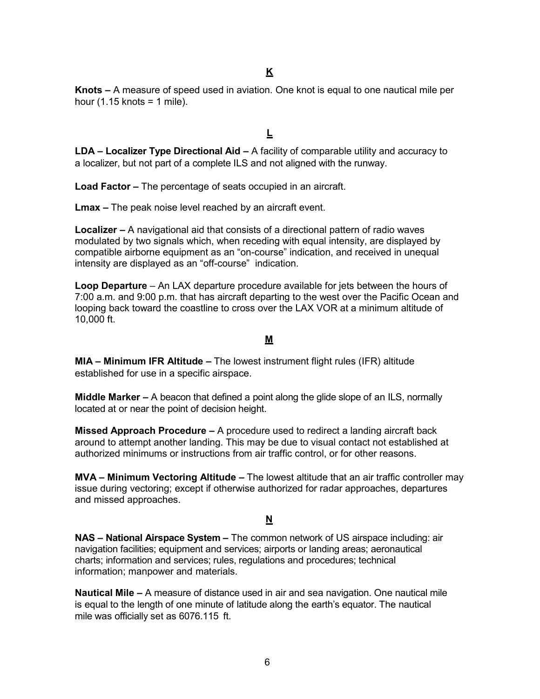**Knots –** A measure of speed used in aviation. One knot is equal to one nautical mile per hour  $(1.15 \text{ knots} = 1 \text{ mile}).$ 

## **L**

**LDA – Localizer Type Directional Aid –** A facility of comparable utility and accuracy to a localizer, but not part of a complete ILS and not aligned with the runway.

**Load Factor –** The percentage of seats occupied in an aircraft.

**Lmax –** The peak noise level reached by an aircraft event.

**Localizer –** A navigational aid that consists of a directional pattern of radio waves modulated by two signals which, when receding with equal intensity, are displayed by compatible airborne equipment as an "on-course" indication, and received in unequal intensity are displayed as an "off-course" indication.

**Loop Departure** – An LAX departure procedure available for jets between the hours of 7:00 a.m. and 9:00 p.m. that has aircraft departing to the west over the Pacific Ocean and looping back toward the coastline to cross over the LAX VOR at a minimum altitude of 10,000 ft.

#### **M**

**MIA – Minimum IFR Altitude –** The lowest instrument flight rules (IFR) altitude established for use in a specific airspace.

**Middle Marker –** A beacon that defined a point along the glide slope of an ILS, normally located at or near the point of decision height.

**Missed Approach Procedure –** A procedure used to redirect a landing aircraft back around to attempt another landing. This may be due to visual contact not established at authorized minimums or instructions from air traffic control, or for other reasons.

**MVA – Minimum Vectoring Altitude –** The lowest altitude that an air traffic controller may issue during vectoring; except if otherwise authorized for radar approaches, departures and missed approaches.

#### **N**

**NAS – National Airspace System –** The common network of US airspace including: air navigation facilities; equipment and services; airports or landing areas; aeronautical charts; information and services; rules, regulations and procedures; technical information; manpower and materials.

**Nautical Mile –** A measure of distance used in air and sea navigation. One nautical mile is equal to the length of one minute of latitude along the earth's equator. The nautical mile was officially set as 6076.115 ft.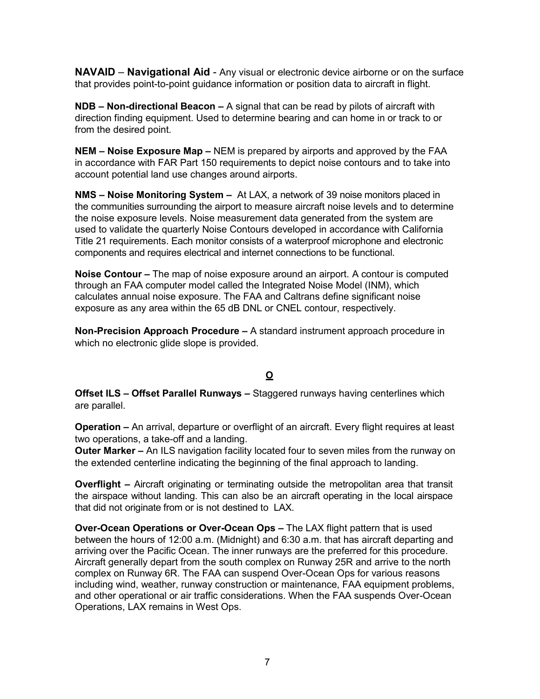**NAVAID** – **Navigational Aid** - Any visual or electronic device airborne or on the surface that provides point-to-point guidance information or position data to aircraft in flight.

**NDB – Non-directional Beacon –** A signal that can be read by pilots of aircraft with direction finding equipment. Used to determine bearing and can home in or track to or from the desired point.

**NEM – Noise Exposure Map –** NEM is prepared by airports and approved by the FAA in accordance with FAR Part 150 requirements to depict noise contours and to take into account potential land use changes around airports.

**NMS – Noise Monitoring System –** At LAX, a network of 39 noise monitors placed in the communities surrounding the airport to measure aircraft noise levels and to determine the noise exposure levels. Noise measurement data generated from the system are used to validate the quarterly Noise Contours developed in accordance with California Title 21 requirements. Each monitor consists of a waterproof microphone and electronic components and requires electrical and internet connections to be functional.

**Noise Contour –** The map of noise exposure around an airport. A contour is computed through an FAA computer model called the Integrated Noise Model (INM), which calculates annual noise exposure. The FAA and Caltrans define significant noise exposure as any area within the 65 dB DNL or CNEL contour, respectively.

**Non-Precision Approach Procedure –** A standard instrument approach procedure in which no electronic glide slope is provided.

### **O**

**Offset ILS – Offset Parallel Runways –** Staggered runways having centerlines which are parallel.

**Operation –** An arrival, departure or overflight of an aircraft. Every flight requires at least two operations, a take-off and a landing.

**Outer Marker –** An ILS navigation facility located four to seven miles from the runway on the extended centerline indicating the beginning of the final approach to landing.

**Overflight –** Aircraft originating or terminating outside the metropolitan area that transit the airspace without landing. This can also be an aircraft operating in the local airspace that did not originate from or is not destined to LAX.

**Over-Ocean Operations or Over-Ocean Ops –** The LAX flight pattern that is used between the hours of 12:00 a.m. (Midnight) and 6:30 a.m. that has aircraft departing and arriving over the Pacific Ocean. The inner runways are the preferred for this procedure. Aircraft generally depart from the south complex on Runway 25R and arrive to the north complex on Runway 6R. The FAA can suspend Over-Ocean Ops for various reasons including wind, weather, runway construction or maintenance. FAA equipment problems. and other operational or air traffic considerations. When the FAA suspends Over-Ocean Operations, LAX remains in West Ops.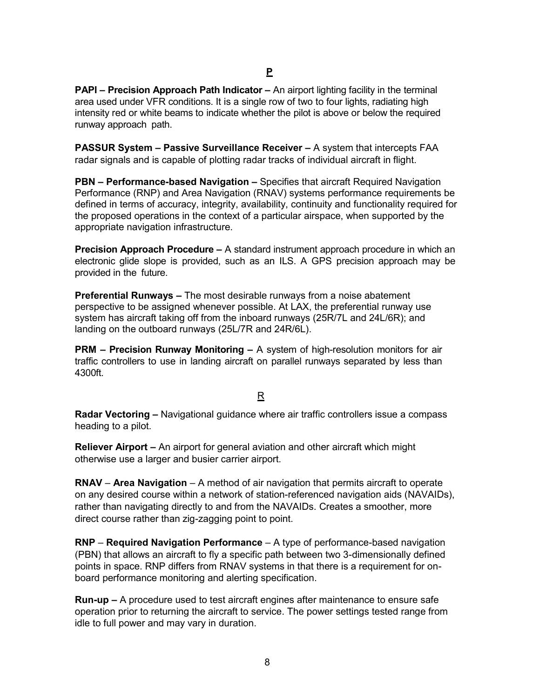**PAPI – Precision Approach Path Indicator –** An airport lighting facility in the terminal area used under VFR conditions. It is a single row of two to four lights, radiating high intensity red or white beams to indicate whether the pilot is above or below the required runway approach path.

**PASSUR System – Passive Surveillance Receiver –** A system that intercepts FAA radar signals and is capable of plotting radar tracks of individual aircraft in flight.

**PBN – Performance-based Navigation –** Specifies that aircraft Required Navigation Performance (RNP) and Area Navigation (RNAV) systems performance requirements be defined in terms of accuracy, integrity, availability, continuity and functionality required for the proposed operations in the context of a particular airspace, when supported by the appropriate navigation infrastructure.

**Precision Approach Procedure –** A standard instrument approach procedure in which an electronic glide slope is provided, such as an ILS. A GPS precision approach may be provided in the future.

**Preferential Runways –** The most desirable runways from a noise abatement perspective to be assigned whenever possible. At LAX, the preferential runway use system has aircraft taking off from the inboard runways (25R/7L and 24L/6R); and landing on the outboard runways (25L/7R and 24R/6L).

**PRM – Precision Runway Monitoring –** A system of high-resolution monitors for air traffic controllers to use in landing aircraft on parallel runways separated by less than 4300ft.

### R

**Radar Vectoring –** Navigational guidance where air traffic controllers issue a compass heading to a pilot.

**Reliever Airport –** An airport for general aviation and other aircraft which might otherwise use a larger and busier carrier airport.

**RNAV** – **Area Navigation** – A method of air navigation that permits aircraft to operate on any desired course within a network of station-referenced navigation aids (NAVAIDs), rather than navigating directly to and from the NAVAIDs. Creates a smoother, more direct course rather than zig-zagging point to point.

**RNP** – **Required Navigation Performance** – A type of performance-based navigation (PBN) that allows an aircraft to fly a specific path between two 3-dimensionally defined points in space. RNP differs from RNAV systems in that there is a requirement for onboard performance monitoring and alerting specification.

**Run-up –** A procedure used to test aircraft engines after maintenance to ensure safe operation prior to returning the aircraft to service. The power settings tested range from idle to full power and may vary in duration.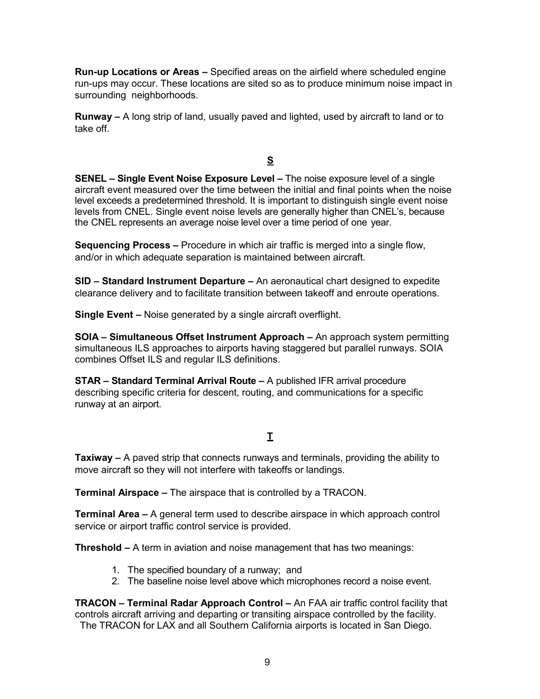**Run-up Locations or Areas –** Specified areas on the airfield where scheduled engine run-ups may occur. These locations are sited so as to produce minimum noise impact in surrounding neighborhoods.

**Runway –** A long strip of land, usually paved and lighted, used by aircraft to land or to take off.

**S** 

**SENEL – Single Event Noise Exposure Level –** The noise exposure level of a single aircraft event measured over the time between the initial and final points when the noise level exceeds a predetermined threshold. It is important to distinguish single event noise levels from CNEL. Single event noise levels are generally higher than CNEL's, because the CNEL represents an average noise level over a time period of one year.

**Sequencing Process –** Procedure in which air traffic is merged into a single flow, and/or in which adequate separation is maintained between aircraft.

**SID – Standard Instrument Departure –** An aeronautical chart designed to expedite clearance delivery and to facilitate transition between takeoff and enroute operations.

**Single Event –** Noise generated by a single aircraft overflight.

**SOIA – Simultaneous Offset Instrument Approach –** An approach system permitting simultaneous ILS approaches to airports having staggered but parallel runways. SOIA combines Offset ILS and regular ILS definitions.

**STAR – Standard Terminal Arrival Route –** A published IFR arrival procedure describing specific criteria for descent, routing, and communications for a specific runway at an airport.

# **T**

**Taxiway –** A paved strip that connects runways and terminals, providing the ability to move aircraft so they will not interfere with takeoffs or landings.

**Terminal Airspace –** The airspace that is controlled by a TRACON.

**Terminal Area –** A general term used to describe airspace in which approach control service or airport traffic control service is provided.

**Threshold –** A term in aviation and noise management that has two meanings:

- 1. The specified boundary of a runway; and
- 2. The baseline noise level above which microphones record a noise event.

**TRACON – Terminal Radar Approach Control –** An FAA air traffic control facility that controls aircraft arriving and departing or transiting airspace controlled by the facility. The TRACON for LAX and all Southern California airports is located in San Diego.